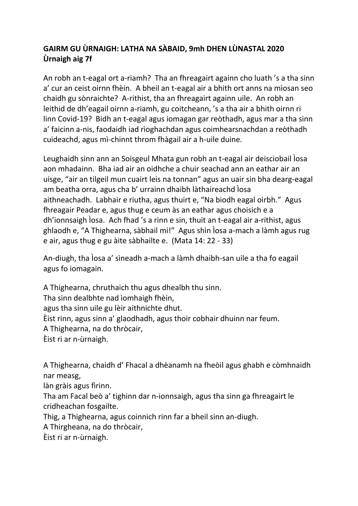## **GAIRM GU ÙRNAIGH: LATHA NA SÀBAID, 9mh DHEN LÙNASTAL 2020 Ùrnaigh aig 7f**

An robh an t-eagal ort a-riamh? Tha an fhreagairt againn cho luath 's a tha sinn a' cur an ceist oirnn fhèin. A bheil an t-eagal air a bhith ort anns na mìosan seo chaidh gu sònraichte? A-rithist, tha an fhreagairt againn uile. An robh an leithid de dh'eagail oirnn a-riamh, gu coitcheann, 's a tha air a bhith oirnn ri linn Covid-19? Bidh an t-eagal agus iomagan gar reòthadh, agus mar a tha sinn a' faicinn a-nis, faodaidh iad rìoghachdan agus coimhearsnachdan a reòthadh cuideachd, agus mì-chinnt throm fhàgail air a h-uile duine.

Leughaidh sinn ann an Soisgeul Mhata gun robh an t-eagal air deisciobail Ìosa aon mhadainn. Bha iad air an oidhche a chuir seachad ann an eathar air an uisge, "air an tilgeil mun cuairt leis na tonnan" agus an uair sin bha dearg-eagal am beatha orra, agus cha b' urrainn dhaibh làthaireachd Ìosa aithneachadh. Labhair e riutha, agus thuirt e, "Na biodh eagal oirbh." Agus fhreagair Peadar e, agus thug e ceum às an eathar agus choisich e a dh'ionnsaigh Ìosa. Ach fhad 's a rinn e sin, thuit an t-eagal air a-rithist, agus ghlaodh e, "A Thighearna, sàbhail mi!" Agus shìn Ìosa a-mach a làmh agus rug e air, agus thug e gu àite sàbhailte e. (Mata 14: 22 - 33)

An-diugh, tha Ìosa a' sìneadh a-mach a làmh dhaibh-san uile a tha fo eagail agus fo iomagain.

A Thighearna, chruthaich thu agus dhealbh thu sinn. Tha sinn dealbhte nad ìomhaigh fhèin, agus tha sinn uile gu lèir aithnichte dhut. Èist rinn, agus sinn a' glaodhadh, agus thoir cobhair dhuinn nar feum. A Thighearna, na do thròcair, Èist ri ar n-ùrnaigh.

A Thighearna, chaidh d' Fhacal a dhèanamh na fheòil agus ghabh e còmhnaidh nar measg,

làn gràis agus fìrinn.

Tha am Facal beò a' tighinn dar n-ionnsaigh, agus tha sinn ga fhreagairt le cridheachan fosgailte.

Thig, a Thighearna, agus coinnich rinn far a bheil sinn an-diugh.

A Thirgheana, na do thròcair,

Èist ri ar n-ùrnaigh.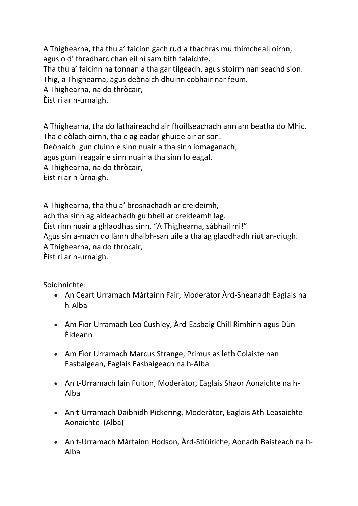A Thighearna, tha thu a' faicinn gach rud a thachras mu thimcheall oirnn, agus o d' fhradharc chan eil nì sam bith falaichte. Tha thu a' faicinn na tonnan a tha gar tilgeadh, agus stoirm nan seachd sìon. Thig, a Thighearna, agus deònaich dhuinn cobhair nar feum. A Thighearna, na do thròcair,

Èist ri ar n-ùrnaigh.

A Thighearna, tha do làthaireachd air fhoillseachadh ann am beatha do Mhic. Tha e eòlach oirnn, tha e ag eadar-ghuide air ar son. Deònaich gun cluinn e sinn nuair a tha sinn iomaganach, agus gum freagair e sinn nuair a tha sinn fo eagal. A Thighearna, na do thròcair, Èist ri ar n-ùrnaigh.

A Thighearna, tha thu a' brosnachadh ar creideimh, ach tha sinn ag aideachadh gu bheil ar creideamh lag. Èist rinn nuair a ghlaodhas sinn, "A Thighearna, sàbhail mi!" Agus sìn a-mach do làmh dhaibh-san uile a tha ag glaodhadh riut an-diugh. A Thighearna, na do thròcair, Èist ri ar n-ùrnaigh.

Soidhnichte:

- An Ceart Urramach Màrtainn Fair, Moderàtor Àrd-Sheanadh Eaglais na h-Alba
- Am Fìor Urramach Leo Cushley, Àrd-Easbaig Chill Rìmhinn agus Dùn Èideann
- Am Fìor Urramach Marcus Strange, Primus as leth Colaiste nan Easbaigean, Eaglais Easbaigeach na h-Alba
- An t-Urramach Iain Fulton, Moderàtor, Eaglais Shaor Aonaichte na h-Alba
- An t-Urramach Daibhidh Pickering, Moderàtor, Eaglais Ath-Leasaichte Aonaichte (Alba)
- An t-Urramach Màrtainn Hodson, Àrd-Stiùiriche, Aonadh Baisteach na h-Alba